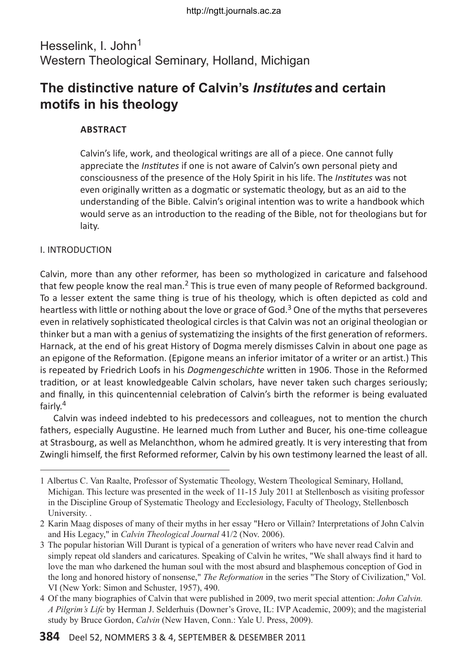## Hesselink, I. John<sup>1</sup> Western Theological Seminary, Holland, Michigan

# **The distinctive nature of Calvin's** *Institutes* **and certain motifs in his theology**

## **ABSTRACT**

Calvin's life, work, and theological writings are all of a piece. One cannot fully appreciate the *Institutes* if one is not aware of Calvin's own personal piety and consciousness of the presence of the Holy Spirit in his life. The *Institutes* was not even originally written as a dogmatic or systematic theology, but as an aid to the understanding of the Bible. Calvin's original intention was to write a handbook which would serve as an introduction to the reading of the Bible, not for theologians but for laity.

## I. Introduction

Calvin, more than any other reformer, has been so mythologized in caricature and falsehood that few people know the real man.<sup>2</sup> This is true even of many people of Reformed background. To a lesser extent the same thing is true of his theology, which is often depicted as cold and heartless with little or nothing about the love or grace of God. $3$  One of the myths that perseveres even in relatively sophisticated theological circles is that Calvin was not an original theologian or thinker but a man with a genius of systematizing the insights of the first generation of reformers. Harnack, at the end of his great History of Dogma merely dismisses Calvin in about one page as an epigone of the Reformation. (Epigone means an inferior imitator of a writer or an artist.) This is repeated by Friedrich Loofs in his *Dogmengeschichte* written in 1906. Those in the Reformed tradition, or at least knowledgeable Calvin scholars, have never taken such charges seriously; and finally, in this quincentennial celebration of Calvin's birth the reformer is being evaluated fairly.<sup>4</sup>

Calvin was indeed indebted to his predecessors and colleagues, not to mention the church fathers, especially Augustine. He learned much from Luther and Bucer, his one-time colleague at Strasbourg, as well as Melanchthon, whom he admired greatly. It is very interesting that from Zwingli himself, the first Reformed reformer, Calvin by his own testimony learned the least of all.

<sup>1</sup>Albertus C. Van Raalte, Professor of Systematic Theology, Western Theological Seminary, Holland, Michigan. This lecture was presented in the week of 11-15 July 2011 at Stellenbosch as visiting professor in the Discipline Group of Systematic Theology and Ecclesiology, Faculty of Theology, Stellenbosch University. .

<sup>2</sup>Karin Maag disposes of many of their myths in her essay "Hero or Villain? Interpretations of John Calvin and His Legacy," in *Calvin Theological Journal* 41/2 (Nov. 2006).

<sup>3</sup>The popular historian Will Durant is typical of a generation of writers who have never read Calvin and simply repeat old slanders and caricatures. Speaking of Calvin he writes, "We shall always find it hard to love the man who darkened the human soul with the most absurd and blasphemous conception of God in the long and honored history of nonsense," *The Reformation* in the series "The Story of Civilization," Vol. VI (New York: Simon and Schuster, 1957), 490.

<sup>4</sup>Of the many biographies of Calvin that were published in 2009, two merit special attention: *John Calvin. A Pilgrim's Life* by Herman J. Selderhuis (Downer's Grove, IL: IVP Academic, 2009); and the magisterial study by Bruce Gordon, *Calvin* (New Haven, Conn.: Yale U. Press, 2009).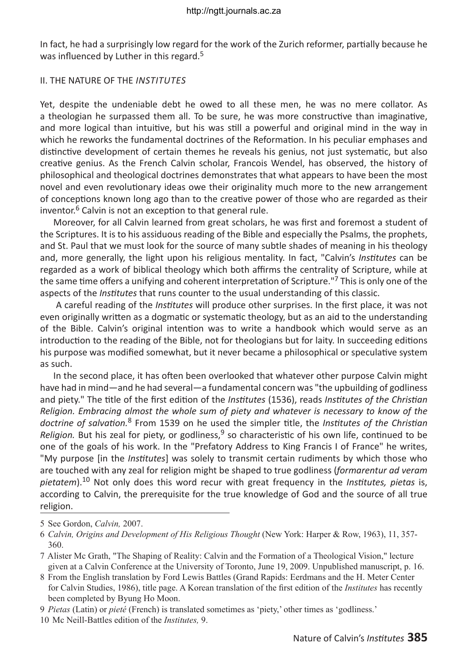In fact, he had a surprisingly low regard for the work of the Zurich reformer, partially because he was influenced by Luther in this regard.<sup>5</sup>

### II. The Nature of the *Institutes*

Yet, despite the undeniable debt he owed to all these men, he was no mere collator. As a theologian he surpassed them all. To be sure, he was more constructive than imaginative, and more logical than intuitive, but his was still a powerful and original mind in the way in which he reworks the fundamental doctrines of the Reformation. In his peculiar emphases and distinctive development of certain themes he reveals his genius, not just systematic, but also creative genius. As the French Calvin scholar, Francois Wendel, has observed, the history of philosophical and theological doctrines demonstrates that what appears to have been the most novel and even revolutionary ideas owe their originality much more to the new arrangement of conceptions known long ago than to the creative power of those who are regarded as their inventor. $6$  Calvin is not an exception to that general rule.

Moreover, for all Calvin learned from great scholars, he was first and foremost a student of the Scriptures. It is to his assiduous reading of the Bible and especially the Psalms, the prophets, and St. Paul that we must look for the source of many subtle shades of meaning in his theology and, more generally, the light upon his religious mentality. In fact, "Calvin's *Institutes* can be regarded as a work of biblical theology which both affirms the centrality of Scripture, while at the same time offers a unifying and coherent interpretation of Scripture."<sup>7</sup> This is only one of the aspects of the *Institutes* that runs counter to the usual understanding of this classic.

 A careful reading of the *Institutes* will produce other surprises. In the first place, it was not even originally written as a dogmatic or systematic theology, but as an aid to the understanding of the Bible. Calvin's original intention was to write a handbook which would serve as an introduction to the reading of the Bible, not for theologians but for laity. In succeeding editions his purpose was modified somewhat, but it never became a philosophical or speculative system as such.

In the second place, it has often been overlooked that whatever other purpose Calvin might have had in mind—and he had several—a fundamental concern was "the upbuilding of godliness and piety." The title of the first edition of the *Institutes* (1536), reads *Institutes of the Christian Religion. Embracing almost the whole sum of piety and whatever is necessary to know of the doctrine of salvation.*8 From 1539 on he used the simpler title, the *Institutes of the Christian Religion.* But his zeal for piety, or godliness,  $9$  so characteristic of his own life, continued to be one of the goals of his work. In the "Prefatory Address to King Francis I of France" he writes, "My purpose [in the *Institutes*] was solely to transmit certain rudiments by which those who are touched with any zeal for religion might be shaped to true godliness (*formarentur ad veram pietatem*).10 Not only does this word recur with great frequency in the *Institutes, pietas* is, according to Calvin, the prerequisite for the true knowledge of God and the source of all true religion.

9 *Pietas* (Latin) or *pieté* (French) is translated sometimes as 'piety,' other times as 'godliness.'

10 Mc Neill-Battles edition of the *Institutes,* 9.

<sup>5</sup>See Gordon, *Calvin,* 2007.

<sup>6</sup>*Calvin, Origins and Development of His Religious Thought* (New York: Harper & Row, 1963), 11, 357- 360.

<sup>7</sup>Alister Mc Grath, "The Shaping of Reality: Calvin and the Formation of a Theological Vision," lecture given at a Calvin Conference at the University of Toronto, June 19, 2009. Unpublished manuscript, p. 16.

<sup>8</sup>From the English translation by Ford Lewis Battles (Grand Rapids: Eerdmans and the H. Meter Center for Calvin Studies, 1986), title page. A Korean translation of the first edition of the *Institutes* has recently been completed by Byung Ho Moon.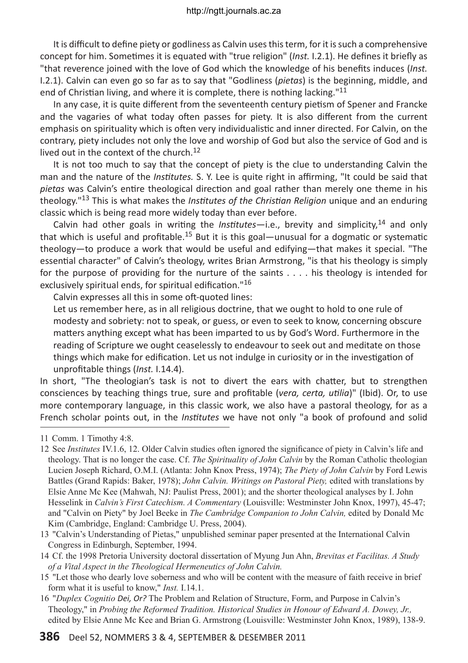It is difficult to define piety or godliness as Calvin uses this term, for it is such a comprehensive concept for him. Sometimes it is equated with "true religion" (*Inst.* I.2.1). He defines it briefly as "that reverence joined with the love of God which the knowledge of his benefits induces (*Inst.* I.2.1). Calvin can even go so far as to say that "Godliness (*pietas*) is the beginning, middle, and end of Christian living, and where it is complete, there is nothing lacking."<sup>11</sup>

In any case, it is quite different from the seventeenth century pietism of Spener and Francke and the vagaries of what today often passes for piety. It is also different from the current emphasis on spirituality which is often very individualistic and inner directed. For Calvin, on the contrary, piety includes not only the love and worship of God but also the service of God and is lived out in the context of the church. $12$ 

It is not too much to say that the concept of piety is the clue to understanding Calvin the man and the nature of the *Institutes.* S. Y. Lee is quite right in affirming, "It could be said that *pietas* was Calvin's entire theological direction and goal rather than merely one theme in his theology."13 This is what makes the *Institutes of the Christian Religion* unique and an enduring classic which is being read more widely today than ever before.

Calvin had other goals in writing the *Institutes*—i.e., brevity and simplicity,14 and only that which is useful and profitable.<sup>15</sup> But it is this goal—unusual for a dogmatic or systematic theology—to produce a work that would be useful and edifying—that makes it special. "The essential character" of Calvin's theology, writes Brian Armstrong, "is that his theology is simply for the purpose of providing for the nurture of the saints . . . . his theology is intended for exclusively spiritual ends, for spiritual edification."<sup>16</sup>

Calvin expresses all this in some oft-quoted lines:

Let us remember here, as in all religious doctrine, that we ought to hold to one rule of modesty and sobriety: not to speak, or guess, or even to seek to know, concerning obscure matters anything except what has been imparted to us by God's Word. Furthermore in the reading of Scripture we ought ceaselessly to endeavour to seek out and meditate on those things which make for edification. Let us not indulge in curiosity or in the investigation of unprofitable things (*Inst.* I.14.4).

In short, "The theologian's task is not to divert the ears with chatter, but to strengthen consciences by teaching things true, sure and profitable (*vera, certa, utilia*)" (Ibid). Or, to use more contemporary language, in this classic work, we also have a pastoral theology, for as a French scholar points out, in the *Institutes* we have not only "a book of profound and solid

- 13  "Calvin's Understanding of Pietas," unpublished seminar paper presented at the International Calvin Congress in Edinburgh, September, 1994.
- 14 Cf. the 1998 Pretoria University doctoral dissertation of Myung Jun Ahn, *Brevitas et Facilitas. A Study of a Vital Aspect in the Theological Hermeneutics of John Calvin.*
- 15  "Let those who dearly love soberness and who will be content with the measure of faith receive in brief form what it is useful to know," *Inst.* I.14.1.
- 16  "*Duplex Cognitio Dei, Or?* The Problem and Relation of Structure, Form, and Purpose in Calvin's Theology," in *Probing the Reformed Tradition. Historical Studies in Honour of Edward A. Dowey, Jr.,* edited by Elsie Anne Mc Kee and Brian G. Armstrong (Louisville: Westminster John Knox, 1989), 138-9.

<sup>11</sup>Comm. 1 Timothy 4:8.

<sup>12</sup>See *Institutes* IV.1.6, 12. Older Calvin studies often ignored the significance of piety in Calvin's life and theology. That is no longer the case. Cf. *The Spirituality of John Calvin* by the Roman Catholic theologian Lucien Joseph Richard, O.M.I. (Atlanta: John Knox Press, 1974); *The Piety of John Calvin* by Ford Lewis Battles (Grand Rapids: Baker, 1978); *John Calvin. Writings on Pastoral Piety,* edited with translations by Elsie Anne Mc Kee (Mahwah, NJ: Paulist Press, 2001); and the shorter theological analyses by I. John Hesselink in *Calvin's First Catechism. A Commentary* (Louisville: Westminster John Knox, 1997), 45-47; and "Calvin on Piety" by Joel Beeke in *The Cambridge Companion to John Calvin,* edited by Donald Mc Kim (Cambridge, England: Cambridge U. Press, 2004).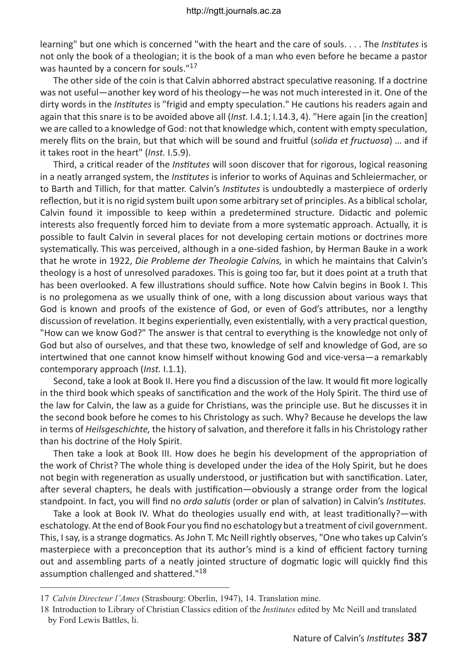learning" but one which is concerned "with the heart and the care of souls. . . . The *Institutes* is not only the book of a theologian; it is the book of a man who even before he became a pastor was haunted by a concern for souls."<sup>17</sup>

The other side of the coin is that Calvin abhorred abstract speculative reasoning. If a doctrine was not useful—another key word of his theology—he was not much interested in it. One of the dirty words in the *Institutes* is "frigid and empty speculation." He cautions his readers again and again that this snare is to be avoided above all (*Inst.* I.4.1; I.14.3, 4). "Here again [in the creation] we are called to a knowledge of God: not that knowledge which, content with empty speculation, merely flits on the brain, but that which will be sound and fruitful (*solida et fructuosa*) … and if it takes root in the heart" (*Inst.* I.5.9).

Third, a critical reader of the *Institutes* will soon discover that for rigorous, logical reasoning in a neatly arranged system, the *Institutes* is inferior to works of Aquinas and Schleiermacher, or to Barth and Tillich, for that matter. Calvin's *Institutes* is undoubtedly a masterpiece of orderly reflection, but it is no rigid system built upon some arbitrary set of principles. As a biblical scholar, Calvin found it impossible to keep within a predetermined structure. Didactic and polemic interests also frequently forced him to deviate from a more systematic approach. Actually, it is possible to fault Calvin in several places for not developing certain motions or doctrines more systematically. This was perceived, although in a one-sided fashion, by Herman Bauke in a work that he wrote in 1922, *Die Probleme der Theologie Calvins,* in which he maintains that Calvin's theology is a host of unresolved paradoxes. This is going too far, but it does point at a truth that has been overlooked. A few illustrations should suffice. Note how Calvin begins in Book I. This is no prolegomena as we usually think of one, with a long discussion about various ways that God is known and proofs of the existence of God, or even of God's attributes, nor a lengthy discussion of revelation. It begins experientially, even existentially, with a very practical question, "How can we know God?" The answer is that central to everything is the knowledge not only of God but also of ourselves, and that these two, knowledge of self and knowledge of God, are so intertwined that one cannot know himself without knowing God and vice-versa—a remarkably contemporary approach (*Inst.* I.1.1).

Second, take a look at Book II. Here you find a discussion of the law. It would fit more logically in the third book which speaks of sanctification and the work of the Holy Spirit. The third use of the law for Calvin, the law as a guide for Christians, was the principle use. But he discusses it in the second book before he comes to his Christology as such. Why? Because he develops the law in terms of *Heilsgeschichte,* the history of salvation, and therefore it falls in his Christology rather than his doctrine of the Holy Spirit.

Then take a look at Book III. How does he begin his development of the appropriation of the work of Christ? The whole thing is developed under the idea of the Holy Spirit, but he does not begin with regeneration as usually understood, or justification but with sanctification. Later, after several chapters, he deals with justification—obviously a strange order from the logical standpoint. In fact, you will find no *ordo salutis* (order or plan of salvation) in Calvin's *Institutes.*

Take a look at Book IV. What do theologies usually end with, at least traditionally?—with eschatology. At the end of Book Four you find no eschatology but a treatment of civil government. This, I say, is a strange dogmatics. As John T. Mc Neill rightly observes, "One who takes up Calvin's masterpiece with a preconception that its author's mind is a kind of efficient factory turning out and assembling parts of a neatly jointed structure of dogmatic logic will quickly find this assumption challenged and shattered."<sup>18</sup>

<sup>17</sup>*Calvin Directeur l'Ames* (Strasbourg: Oberlin, 1947), 14. Translation mine.

<sup>18</sup>Introduction to Library of Christian Classics edition of the *Institutes* edited by Mc Neill and translated by Ford Lewis Battles, li.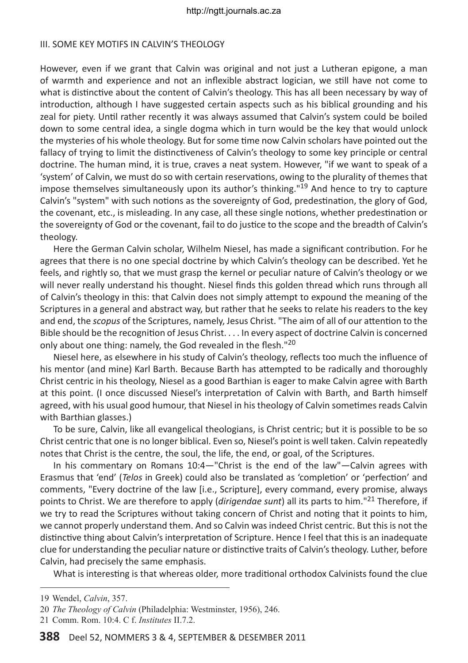### III. SOME KEY MOTIES IN CALVIN'S THEOLOGY

However, even if we grant that Calvin was original and not just a Lutheran epigone, a man of warmth and experience and not an inflexible abstract logician, we still have not come to what is distinctive about the content of Calvin's theology. This has all been necessary by way of introduction, although I have suggested certain aspects such as his biblical grounding and his zeal for piety. Until rather recently it was always assumed that Calvin's system could be boiled down to some central idea, a single dogma which in turn would be the key that would unlock the mysteries of his whole theology. But for some time now Calvin scholars have pointed out the fallacy of trying to limit the distinctiveness of Calvin's theology to some key principle or central doctrine. The human mind, it is true, craves a neat system. However, "if we want to speak of a 'system' of Calvin, we must do so with certain reservations, owing to the plurality of themes that impose themselves simultaneously upon its author's thinking."<sup>19</sup> And hence to try to capture Calvin's "system" with such notions as the sovereignty of God, predestination, the glory of God, the covenant, etc., is misleading. In any case, all these single notions, whether predestination or the sovereignty of God or the covenant, fail to do justice to the scope and the breadth of Calvin's theology.

Here the German Calvin scholar, Wilhelm Niesel, has made a significant contribution. For he agrees that there is no one special doctrine by which Calvin's theology can be described. Yet he feels, and rightly so, that we must grasp the kernel or peculiar nature of Calvin's theology or we will never really understand his thought. Niesel finds this golden thread which runs through all of Calvin's theology in this: that Calvin does not simply attempt to expound the meaning of the Scriptures in a general and abstract way, but rather that he seeks to relate his readers to the key and end, the *scopus* of the Scriptures, namely, Jesus Christ. "The aim of all of our attention to the Bible should be the recognition of Jesus Christ. . . . In every aspect of doctrine Calvin is concerned only about one thing: namely, the God revealed in the flesh."<sup>20</sup>

Niesel here, as elsewhere in his study of Calvin's theology, reflects too much the influence of his mentor (and mine) Karl Barth. Because Barth has attempted to be radically and thoroughly Christ centric in his theology, Niesel as a good Barthian is eager to make Calvin agree with Barth at this point. (I once discussed Niesel's interpretation of Calvin with Barth, and Barth himself agreed, with his usual good humour, that Niesel in his theology of Calvin sometimes reads Calvin with Barthian glasses.)

To be sure, Calvin, like all evangelical theologians, is Christ centric; but it is possible to be so Christ centric that one is no longer biblical. Even so, Niesel's point is well taken. Calvin repeatedly notes that Christ is the centre, the soul, the life, the end, or goal, of the Scriptures.

In his commentary on Romans 10:4—"Christ is the end of the law"—Calvin agrees with Erasmus that 'end' (*Telos* in Greek) could also be translated as 'completion' or 'perfection' and comments, "Every doctrine of the law [i.e., Scripture], every command, every promise, always points to Christ. We are therefore to apply (*dirigendae sunt*) all its parts to him."21 Therefore, if we try to read the Scriptures without taking concern of Christ and noting that it points to him, we cannot properly understand them. And so Calvin was indeed Christ centric. But this is not the distinctive thing about Calvin's interpretation of Scripture. Hence I feel that this is an inadequate clue for understanding the peculiar nature or distinctive traits of Calvin's theology. Luther, before Calvin, had precisely the same emphasis.

What is interesting is that whereas older, more traditional orthodox Calvinists found the clue

<sup>19</sup>Wendel, *Calvin*, 357.

<sup>20</sup>*The Theology of Calvin* (Philadelphia: Westminster, 1956), 246.

<sup>21</sup>Comm. Rom. 10:4. C f. *Institutes* II.7.2.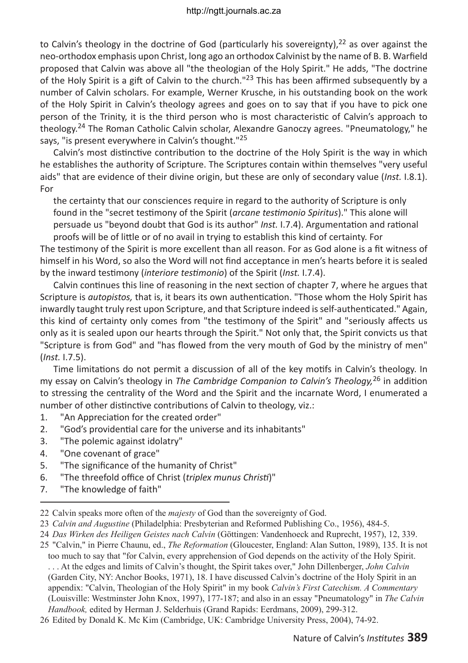to Calvin's theology in the doctrine of God (particularly his sovereignty),  $22$  as over against the neo-orthodox emphasis upon Christ, long ago an orthodox Calvinist by the name of B. B. Warfield proposed that Calvin was above all "the theologian of the Holy Spirit." He adds, "The doctrine of the Holy Spirit is a gift of Calvin to the church."<sup>23</sup> This has been affirmed subsequently by a number of Calvin scholars. For example, Werner Krusche, in his outstanding book on the work of the Holy Spirit in Calvin's theology agrees and goes on to say that if you have to pick one person of the Trinity, it is the third person who is most characteristic of Calvin's approach to theology.24 The Roman Catholic Calvin scholar, Alexandre Ganoczy agrees. "Pneumatology," he says, "is present everywhere in Calvin's thought."<sup>25</sup>

Calvin's most distinctive contribution to the doctrine of the Holy Spirit is the way in which he establishes the authority of Scripture. The Scriptures contain within themselves "very useful aids" that are evidence of their divine origin, but these are only of secondary value (*Inst.* I.8.1). For

the certainty that our consciences require in regard to the authority of Scripture is only found in the "secret testimony of the Spirit (*arcane testimonio Spiritus*)." This alone will persuade us "beyond doubt that God is its author" *Inst.* I.7.4). Argumentation and rational proofs will be of little or of no avail in trying to establish this kind of certainty. For

The testimony of the Spirit is more excellent than all reason. For as God alone is a fit witness of himself in his Word, so also the Word will not find acceptance in men's hearts before it is sealed by the inward testimony (*interiore testimonio*) of the Spirit (*Inst.* I.7.4).

Calvin continues this line of reasoning in the next section of chapter 7, where he argues that Scripture is *autopistos,* that is, it bears its own authentication. "Those whom the Holy Spirit has inwardly taught truly rest upon Scripture, and that Scripture indeed is self-authenticated." Again, this kind of certainty only comes from "the testimony of the Spirit" and "seriously affects us only as it is sealed upon our hearts through the Spirit." Not only that, the Spirit convicts us that "Scripture is from God" and "has flowed from the very mouth of God by the ministry of men" (*Inst.* I.7.5).

Time limitations do not permit a discussion of all of the key motifs in Calvin's theology. In my essay on Calvin's theology in *The Cambridge Companion to Calvin's Theology,*26 in addition to stressing the centrality of the Word and the Spirit and the incarnate Word, I enumerated a number of other distinctive contributions of Calvin to theology, viz.:

- 1. "An Appreciation for the created order"
- 2. "God's providential care for the universe and its inhabitants"
- 3. "The polemic against idolatry"
- 4. "One covenant of grace"
- 5. "The significance of the humanity of Christ"
- 6. "The threefold office of Christ (*triplex munus Christi*)"
- 7. "The knowledge of faith"

<sup>22</sup>Calvin speaks more often of the *majesty* of God than the sovereignty of God.

<sup>23</sup>*Calvin and Augustine* (Philadelphia: Presbyterian and Reformed Publishing Co., 1956), 484-5.

<sup>24</sup>*Das Wirken des Heiligen Geistes nach Calvin* (Göttingen: Vandenhoeck and Ruprecht, 1957), 12, 339.

<sup>25</sup> "Calvin," in Pierre Chaunu, ed., *The Reformation* (Gloucester, England: Alan Sutton, 1989), 135. It is not too much to say that "for Calvin, every apprehension of God depends on the activity of the Holy Spirit. . . . At the edges and limits of Calvin's thought, the Spirit takes over," John Dillenberger, *John Calvin* (Garden City, NY: Anchor Books, 1971), 18. I have discussed Calvin's doctrine of the Holy Spirit in an appendix: "Calvin, Theologian of the Holy Spirit" in my book *Calvin's First Catechism. A Commentary* (Louisville: Westminster John Knox, 1997), 177-187; and also in an essay "Pneumatology" in *The Calvin Handbook,* edited by Herman J. Selderhuis (Grand Rapids: Eerdmans, 2009), 299-312.

<sup>26</sup>Edited by Donald K. Mc Kim (Cambridge, UK: Cambridge University Press, 2004), 74-92.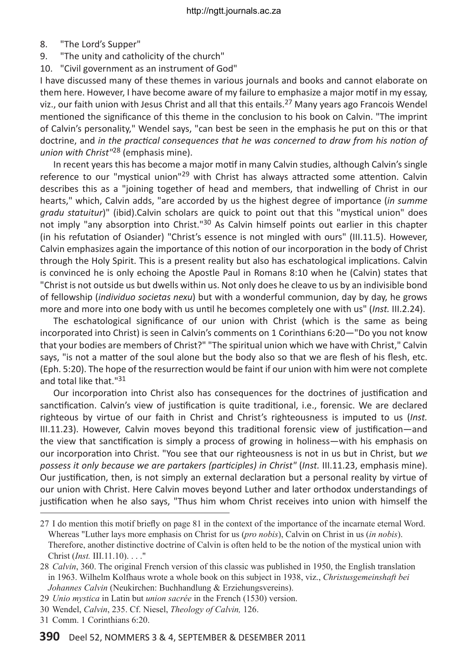- 8. "The Lord's Supper"
- 9. "The unity and catholicity of the church"
- 10. "Civil government as an instrument of God"

I have discussed many of these themes in various journals and books and cannot elaborate on them here. However, I have become aware of my failure to emphasize a major motif in my essay, viz., our faith union with Jesus Christ and all that this entails.<sup>27</sup> Many years ago Francois Wendel mentioned the significance of this theme in the conclusion to his book on Calvin. "The imprint of Calvin's personality," Wendel says, "can best be seen in the emphasis he put on this or that doctrine, and *in the practical consequences that he was concerned to draw from his notion of union with Christ"*28 (emphasis mine).

In recent years this has become a major motif in many Calvin studies, although Calvin's single reference to our "mystical union"<sup>29</sup> with Christ has always attracted some attention. Calvin describes this as a "joining together of head and members, that indwelling of Christ in our hearts," which, Calvin adds, "are accorded by us the highest degree of importance (*in summe gradu statuitur*)" (ibid).Calvin scholars are quick to point out that this "mystical union" does not imply "any absorption into Christ."<sup>30</sup> As Calvin himself points out earlier in this chapter (in his refutation of Osiander) "Christ's essence is not mingled with ours" (III.11.5). However, Calvin emphasizes again the importance of this notion of our incorporation in the body of Christ through the Holy Spirit. This is a present reality but also has eschatological implications. Calvin is convinced he is only echoing the Apostle Paul in Romans 8:10 when he (Calvin) states that "Christ is not outside us but dwells within us. Not only does he cleave to us by an indivisible bond of fellowship (*individuo societas nexu*) but with a wonderful communion, day by day, he grows more and more into one body with us until he becomes completely one with us" (*Inst.* III.2.24).

The eschatological significance of our union with Christ (which is the same as being incorporated into Christ) is seen in Calvin's comments on 1 Corinthians 6:20—"Do you not know that your bodies are members of Christ?" "The spiritual union which we have with Christ," Calvin says, "is not a matter of the soul alone but the body also so that we are flesh of his flesh, etc. (Eph. 5:20). The hope of the resurrection would be faint if our union with him were not complete and total like that."<sup>31</sup>

Our incorporation into Christ also has consequences for the doctrines of justification and sanctification. Calvin's view of justification is quite traditional, i.e., forensic. We are declared righteous by virtue of our faith in Christ and Christ's righteousness is imputed to us (*Inst.* III.11.23). However, Calvin moves beyond this traditional forensic view of justification—and the view that sanctification is simply a process of growing in holiness—with his emphasis on our incorporation into Christ. "You see that our righteousness is not in us but in Christ, but *we possess it only because we are partakers (participles) in Christ"* (*Inst.* III.11.23, emphasis mine). Our justification, then, is not simply an external declaration but a personal reality by virtue of our union with Christ. Here Calvin moves beyond Luther and later orthodox understandings of justification when he also says, "Thus him whom Christ receives into union with himself the

<sup>27</sup>I do mention this motif briefly on page 81 in the context of the importance of the incarnate eternal Word. Whereas "Luther lays more emphasis on Christ for us (*pro nobis*), Calvin on Christ in us (*in nobis*). Therefore, another distinctive doctrine of Calvin is often held to be the notion of the mystical union with Christ (*Inst.* III.11.10). . . ."

<sup>28</sup>*Calvin*, 360. The original French version of this classic was published in 1950, the English translation in 1963. Wilhelm Kolfhaus wrote a whole book on this subject in 1938, viz., *Christusgemeinshaft bei Johannes Calvin* (Neukirchen: Buchhandlung & Erziehungsvereins).

<sup>29</sup>*Unio mystica* in Latin but *union sacrée* in the French (1530) version.

<sup>30</sup>Wendel, *Calvin*, 235. Cf. Niesel, *Theology of Calvin,* 126.

<sup>31</sup>Comm. 1 Corinthians 6:20.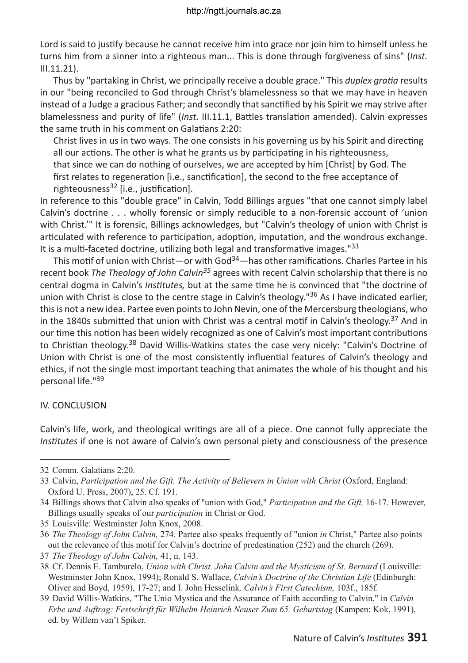Lord is said to justify because he cannot receive him into grace nor join him to himself unless he turns him from a sinner into a righteous man... This is done through forgiveness of sins" (*Inst.* III.11.21).

Thus by "partaking in Christ, we principally receive a double grace." This *duplex gratia* results in our "being reconciled to God through Christ's blamelessness so that we may have in heaven instead of a Judge a gracious Father; and secondly that sanctified by his Spirit we may strive after blamelessness and purity of life" (*Inst.* III.11.1, Battles translation amended). Calvin expresses the same truth in his comment on Galatians 2:20:

Christ lives in us in two ways. The one consists in his governing us by his Spirit and directing all our actions. The other is what he grants us by participating in his righteousness, that since we can do nothing of ourselves, we are accepted by him [Christ] by God. The first relates to regeneration [i.e., sanctification], the second to the free acceptance of righteousness<sup>32</sup> [i.e., justification].

In reference to this "double grace" in Calvin, Todd Billings argues "that one cannot simply label Calvin's doctrine . . . wholly forensic or simply reducible to a non-forensic account of 'union with Christ.'" It is forensic, Billings acknowledges, but "Calvin's theology of union with Christ is articulated with reference to participation, adoption, imputation, and the wondrous exchange. It is a multi-faceted doctrine, utilizing both legal and transformative images." $33$ 

This motif of union with Christ—or with God<sup>34</sup>—has other ramifications. Charles Partee in his recent book *The Theology of John Calvin35* agrees with recent Calvin scholarship that there is no central dogma in Calvin's *Institutes,* but at the same time he is convinced that "the doctrine of union with Christ is close to the centre stage in Calvin's theology."<sup>36</sup> As I have indicated earlier, this is not a new idea. Partee even points to John Nevin, one of the Mercersburg theologians, who in the 1840s submitted that union with Christ was a central motif in Calvin's theology.<sup>37</sup> And in our time this notion has been widely recognized as one of Calvin's most important contributions to Christian theology.<sup>38</sup> David Willis-Watkins states the case very nicely: "Calvin's Doctrine of Union with Christ is one of the most consistently influential features of Calvin's theology and ethics, if not the single most important teaching that animates the whole of his thought and his personal life."39

### IV. Conclusion

Calvin's life, work, and theological writings are all of a piece. One cannot fully appreciate the *Institutes* if one is not aware of Calvin's own personal piety and consciousness of the presence

<sup>32</sup>Comm. Galatians 2:20.

<sup>33</sup>Calvin, *Participation and the Gift. The Activity of Believers in Union with Christ* (Oxford, England: Oxford U. Press, 2007), 25. Cf. 191.

<sup>34</sup>Billings shows that Calvin also speaks of "union with God," *Participation and the Gift,* 16-17. However, Billings usually speaks of our *participation* in Christ or God.

<sup>35</sup>Louisville: Westminster John Knox, 2008.

<sup>36</sup>*The Theology of John Calvin,* 274. Partee also speaks frequently of "union *in* Christ," Partee also points out the relevance of this motif for Calvin's doctrine of predestination (252) and the church (269).

<sup>37</sup>*The Theology of John Calvin,* 41, n. 143.

<sup>38</sup>Cf. Dennis E. Tamburelo, *Union with Christ. John Calvin and the Mysticism of St. Bernard* (Louisville: Westminster John Knox, 1994); Ronald S. Wallace, *Calvin's Doctrine of the Christian Life* (Edinburgh: Oliver and Boyd, 1959), 17-27; and I. John Hesselink*, Calvin's First Catechism,* 103f., 185f*.*

<sup>39</sup>David Willis-Watkins, "The Unio Mystica and the Assurance of Faith according to Calvin," in *Calvin Erbe und Auftrag: Festschrift für Wilhelm Heinrich Neuser Zum 65. Geburtstag* (Kampen: Kok, 1991), ed. by Willem van't Spiker.